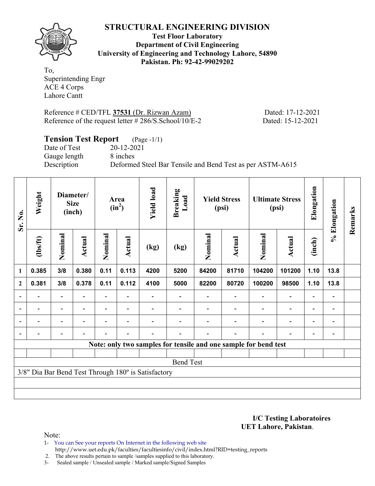

**Test Floor Laboratory Department of Civil Engineering University of Engineering and Technology Lahore, 54890 Pakistan. Ph: 92-42-99029202** 

To, Superintending Engr ACE 4 Corps Lahore Cantt

Reference # CED/TFL **37531** (Dr. Rizwan Azam) Dated: 17-12-2021 Reference of the request letter # 286/S.School/10/E-2 Dated: 15-12-2021

# **Tension Test Report** (Page -1/1)

Gauge length 8 inches

Date of Test 20-12-2021 Description Deformed Steel Bar Tensile and Bend Test as per ASTM-A615

| Sr. No.                  | Weight                   |                          | Diameter/<br><b>Size</b><br>(inch) |                          | Area<br>$(in^2)$         | <b>Yield load</b>                                   | <b>Breaking</b><br>Load |         | <b>Yield Stress</b><br>(psi) |                                                                 | <b>Ultimate Stress</b><br>(psi) | Elongation               | % Elongation             | Remarks |
|--------------------------|--------------------------|--------------------------|------------------------------------|--------------------------|--------------------------|-----------------------------------------------------|-------------------------|---------|------------------------------|-----------------------------------------------------------------|---------------------------------|--------------------------|--------------------------|---------|
|                          | $\frac{2}{10}$           | Nominal                  | Actual                             | Nominal                  | Actual                   | (kg)                                                | (kg)                    | Nominal | <b>Actual</b>                | Nominal                                                         | Actual                          | (inch)                   |                          |         |
| $\mathbf{1}$             | 0.385                    | 3/8                      | 0.380                              | 0.11                     | 0.113                    | 4200                                                | 5200                    | 84200   | 81710                        | 104200                                                          | 101200                          | 1.10                     | 13.8                     |         |
| $\boldsymbol{2}$         | 0.381                    | 3/8                      | 0.378                              | 0.11                     | 0.112                    | 4100                                                | 5000                    | 82200   | 80720                        | 100200                                                          | 98500                           | 1.10                     | 13.8                     |         |
| $\blacksquare$           |                          | $\overline{\phantom{0}}$ |                                    |                          |                          |                                                     |                         |         |                              |                                                                 | $\overline{\phantom{0}}$        |                          |                          |         |
| $\overline{\phantom{a}}$ | $\overline{\phantom{0}}$ | $\blacksquare$           | $\overline{\phantom{a}}$           |                          | $\blacksquare$           |                                                     |                         |         |                              | $\overline{\phantom{a}}$                                        | $\overline{\phantom{a}}$        | $\overline{\phantom{a}}$ | $\overline{\phantom{0}}$ |         |
| $\blacksquare$           | $\blacksquare$           | $\overline{\phantom{0}}$ |                                    | $\overline{\phantom{0}}$ | $\overline{\phantom{0}}$ |                                                     |                         |         |                              | $\overline{\phantom{0}}$                                        | $\overline{a}$                  | $\overline{\phantom{a}}$ |                          |         |
|                          |                          |                          | $\overline{\phantom{0}}$           |                          | $\blacksquare$           |                                                     |                         |         |                              | $\overline{\phantom{0}}$                                        | $\overline{a}$                  | $\overline{\phantom{a}}$ |                          |         |
|                          |                          |                          |                                    |                          |                          |                                                     |                         |         |                              | Note: only two samples for tensile and one sample for bend test |                                 |                          |                          |         |
|                          |                          |                          |                                    |                          |                          |                                                     |                         |         |                              |                                                                 |                                 |                          |                          |         |
|                          |                          |                          |                                    |                          |                          |                                                     | <b>Bend Test</b>        |         |                              |                                                                 |                                 |                          |                          |         |
|                          |                          |                          |                                    |                          |                          | 3/8" Dia Bar Bend Test Through 180° is Satisfactory |                         |         |                              |                                                                 |                                 |                          |                          |         |
|                          |                          |                          |                                    |                          |                          |                                                     |                         |         |                              |                                                                 |                                 |                          |                          |         |
|                          |                          |                          |                                    |                          |                          |                                                     |                         |         |                              |                                                                 |                                 |                          |                          |         |

**I/C Testing Laboratoires UET Lahore, Pakistan**.

Note:

1- You can See your reports On Internet in the following web site http://www.uet.edu.pk/faculties/facultiesinfo/civil/index.html?RID=testing\_reports

2. The above results pertain to sample /samples supplied to this laboratory.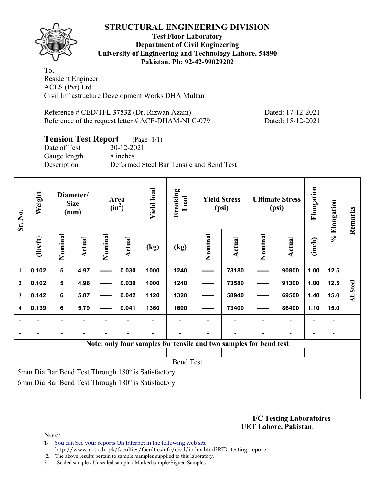

### **Test Floor Laboratory Department of Civil Engineering University of Engineering and Technology Lahore, 54890 Pakistan. Ph: 92-42-99029202**

To, Resident Engineer ACES (Pvt) Ltd Civil Infrastructure Development Works DHA Multan

Reference # CED/TFL **37532** (Dr. Rizwan Azam) Dated: 17-12-2021 Reference of the request letter # ACE-DHAM-NLC-079 Dated: 15-12-2021

# **Tension Test Report** (Page -1/1)

Gauge length 8 inches

Date of Test 20-12-2021 Description Deformed Steel Bar Tensile and Bend Test

| Sr. No.                  | Weight                            |    | Diameter/<br><b>Size</b><br>(mm) |         | Area<br>$(in^2)$ | <b>Yield load</b>                                  | <b>Breaking</b><br>Load                                           |         | <b>Yield Stress</b><br>(psi) |         | <b>Ultimate Stress</b><br>(psi) | Elongation     | % Elongation | Remarks   |
|--------------------------|-----------------------------------|----|----------------------------------|---------|------------------|----------------------------------------------------|-------------------------------------------------------------------|---------|------------------------------|---------|---------------------------------|----------------|--------------|-----------|
|                          | Nominal<br>(1bs/ft)<br>0.102<br>1 |    | Actual                           | Nominal | Actual           | (kg)                                               | (kg)                                                              | Nominal | Actual                       | Nominal | Actual                          | (inch)         |              |           |
|                          |                                   | 5  | 4.97                             | ------  | 0.030            | 1000                                               | 1240                                                              | ------  | 73180                        | ------  | 90800                           | 1.00           | 12.5         |           |
| $\overline{2}$           | 0.102                             | 5  | 4.96                             | ------  | 0.030            | 1000                                               | 1240                                                              |         | 73580                        |         | 91300                           | 1.00           | 12.5         |           |
| 3                        | 0.142                             | 6  | 5.87                             | -----   | 0.042            | 1120                                               | 1320                                                              |         | 58940                        |         | 69500                           | 1.40           | 15.0         | Ali Steel |
| 4                        | 0.139                             | 6  | 5.79                             | ------  | 0.041            | 1360                                               | 1600                                                              |         | 73400                        |         | 86400                           | 1.10           | 15.0         |           |
|                          |                                   | Ξ. |                                  |         |                  |                                                    |                                                                   |         |                              |         | $\overline{\phantom{0}}$        | $\overline{a}$ |              |           |
| $\overline{\phantom{a}}$ |                                   |    |                                  |         |                  |                                                    |                                                                   |         |                              |         | $\blacksquare$                  | ۰              |              |           |
|                          |                                   |    |                                  |         |                  |                                                    | Note: only four samples for tensile and two samples for bend test |         |                              |         |                                 |                |              |           |
|                          |                                   |    |                                  |         |                  |                                                    |                                                                   |         |                              |         |                                 |                |              |           |
|                          | <b>Bend Test</b>                  |    |                                  |         |                  |                                                    |                                                                   |         |                              |         |                                 |                |              |           |
|                          |                                   |    |                                  |         |                  | 5mm Dia Bar Bend Test Through 180° is Satisfactory |                                                                   |         |                              |         |                                 |                |              |           |
|                          |                                   |    |                                  |         |                  | 6mm Dia Bar Bend Test Through 180° is Satisfactory |                                                                   |         |                              |         |                                 |                |              |           |
|                          |                                   |    |                                  |         |                  |                                                    |                                                                   |         |                              |         |                                 |                |              |           |

**I/C Testing Laboratoires UET Lahore, Pakistan**.

Note:

1- You can See your reports On Internet in the following web site http://www.uet.edu.pk/faculties/facultiesinfo/civil/index.html?RID=testing\_reports

2. The above results pertain to sample /samples supplied to this laboratory.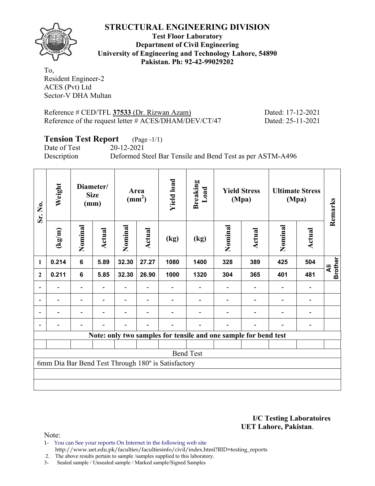

**Test Floor Laboratory Department of Civil Engineering University of Engineering and Technology Lahore, 54890 Pakistan. Ph: 92-42-99029202** 

To, Resident Engineer-2 ACES (Pvt) Ltd Sector-V DHA Multan

Reference # CED/TFL **37533** (Dr. Rizwan Azam) Dated: 17-12-2021 Reference of the request letter # ACES/DHAM/DEV/CT/47 Dated: 25-11-2021

## **Tension Test Report** (Page -1/1)

Date of Test 20-12-2021

Description Deformed Steel Bar Tensile and Bend Test as per ASTM-A496

| Sr. No.          | Weight                                             |                | Diameter/<br><b>Size</b><br>(mm) |         | Area<br>$\text{(mm}^2)$ | <b>Yield load</b> | <b>Breaking</b><br>Load                                         |                          | <b>Yield Stress</b><br>(Mpa) |         | <b>Ultimate Stress</b><br>(Mpa) | Remarks             |  |
|------------------|----------------------------------------------------|----------------|----------------------------------|---------|-------------------------|-------------------|-----------------------------------------------------------------|--------------------------|------------------------------|---------|---------------------------------|---------------------|--|
|                  | (kg/m)                                             | Nominal        | Actual                           | Nominal | Actual                  | (kg)              | (kg)                                                            | Nominal                  | Actual                       | Nominal | Actual                          |                     |  |
| 1                | 0.214                                              | $6\phantom{1}$ | 5.89                             | 32.30   | 27.27                   | 1080              | 1400                                                            | 328                      | 389                          | 425     | 504                             | <b>Brother</b><br>₹ |  |
| $\boldsymbol{2}$ | 0.211                                              | $6\phantom{1}$ | 5.85                             | 32.30   | 26.90                   | 1000              | 1320                                                            | 304                      | 365                          | 401     | 481                             |                     |  |
|                  |                                                    |                |                                  |         |                         |                   |                                                                 |                          |                              |         |                                 |                     |  |
| $\blacksquare$   |                                                    |                |                                  |         |                         |                   | $\overline{\phantom{a}}$                                        | $\qquad \qquad -$        |                              |         |                                 |                     |  |
|                  |                                                    |                |                                  |         |                         |                   | $\overline{\phantom{0}}$                                        |                          |                              |         | -                               |                     |  |
|                  |                                                    |                | $\qquad \qquad \blacksquare$     |         |                         |                   | $\overline{a}$                                                  | $\overline{\phantom{0}}$ |                              |         |                                 |                     |  |
|                  |                                                    |                |                                  |         |                         |                   | Note: only two samples for tensile and one sample for bend test |                          |                              |         |                                 |                     |  |
|                  |                                                    |                |                                  |         |                         |                   |                                                                 |                          |                              |         |                                 |                     |  |
|                  |                                                    |                |                                  |         |                         |                   | <b>Bend Test</b>                                                |                          |                              |         |                                 |                     |  |
|                  | 6mm Dia Bar Bend Test Through 180° is Satisfactory |                |                                  |         |                         |                   |                                                                 |                          |                              |         |                                 |                     |  |
|                  |                                                    |                |                                  |         |                         |                   |                                                                 |                          |                              |         |                                 |                     |  |
|                  |                                                    |                |                                  |         |                         |                   |                                                                 |                          |                              |         |                                 |                     |  |

**I/C Testing Laboratoires UET Lahore, Pakistan**.

Note:

1- You can See your reports On Internet in the following web site http://www.uet.edu.pk/faculties/facultiesinfo/civil/index.html?RID=testing\_reports

2. The above results pertain to sample /samples supplied to this laboratory.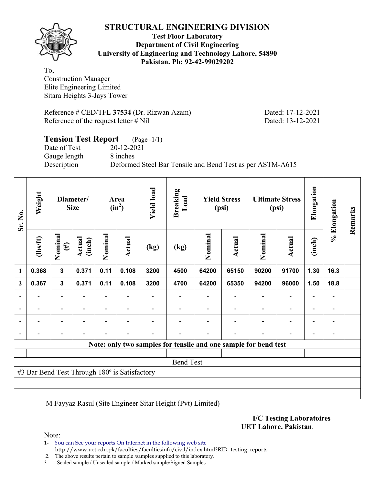

#### **Test Floor Laboratory Department of Civil Engineering University of Engineering and Technology Lahore, 54890 Pakistan. Ph: 92-42-99029202**

To, Construction Manager Elite Engineering Limited Sitara Heights 3-Jays Tower

Reference # CED/TFL **37534** (Dr. Rizwan Azam) Dated: 17-12-2021 Reference of the request letter # Nil Dated: 13-12-2021

# **Tension Test Report** (Page -1/1) Date of Test 20-12-2021 Gauge length 8 inches Description Deformed Steel Bar Tensile and Bend Test as per ASTM-A615

| Sr. No.          | Weight                                        |                          | Diameter/<br><b>Size</b> |         | Area<br>$(in^2)$         | <b>Yield load</b> | <b>Breaking</b><br>Load |         | <b>Yield Stress</b><br>(psi)                                    |                          | <b>Ultimate Stress</b><br>(psi) | Elongation               | % Elongation                 | Remarks |
|------------------|-----------------------------------------------|--------------------------|--------------------------|---------|--------------------------|-------------------|-------------------------|---------|-----------------------------------------------------------------|--------------------------|---------------------------------|--------------------------|------------------------------|---------|
|                  | (1bs/ft)                                      | Nominal<br>$(\#)$        | Actual<br>(inch)         | Nominal | Actual                   | (kg)              | (kg)                    | Nominal | <b>Actual</b>                                                   | Nominal                  | <b>Actual</b>                   | (inch)                   |                              |         |
| 1                | 0.368                                         | $\mathbf{3}$             | 0.371                    | 0.11    | 0.108                    | 3200              | 4500                    | 64200   | 65150                                                           | 90200                    | 91700                           | 1.30                     | 16.3                         |         |
| $\boldsymbol{2}$ | 0.367                                         | $\mathbf{3}$             | 0.371                    | 0.11    | 0.108                    | 3200              | 4700                    | 64200   | 65350                                                           | 94200                    | 96000                           | 1.50                     | 18.8                         |         |
|                  |                                               | $\overline{\phantom{0}}$ |                          |         |                          |                   |                         |         |                                                                 |                          | $\overline{\phantom{0}}$        | $\overline{\phantom{0}}$ |                              |         |
|                  | $\overline{\phantom{0}}$                      | $\overline{\phantom{a}}$ |                          |         | $\overline{\phantom{a}}$ |                   |                         |         |                                                                 |                          | $\overline{\phantom{0}}$        | $\overline{\phantom{0}}$ | $\qquad \qquad \blacksquare$ |         |
|                  | $\overline{\phantom{0}}$                      | $\overline{\phantom{a}}$ |                          | Ξ.      | $\blacksquare$           |                   |                         |         |                                                                 | $\overline{\phantom{0}}$ | $\overline{\phantom{0}}$        | $\overline{\phantom{0}}$ | $\overline{\phantom{0}}$     |         |
|                  |                                               |                          |                          |         |                          |                   |                         |         |                                                                 |                          |                                 | ۰                        |                              |         |
|                  |                                               |                          |                          |         |                          |                   |                         |         | Note: only two samples for tensile and one sample for bend test |                          |                                 |                          |                              |         |
|                  |                                               |                          |                          |         |                          |                   |                         |         |                                                                 |                          |                                 |                          |                              |         |
|                  |                                               |                          |                          |         |                          |                   | <b>Bend Test</b>        |         |                                                                 |                          |                                 |                          |                              |         |
|                  | #3 Bar Bend Test Through 180° is Satisfactory |                          |                          |         |                          |                   |                         |         |                                                                 |                          |                                 |                          |                              |         |
|                  |                                               |                          |                          |         |                          |                   |                         |         |                                                                 |                          |                                 |                          |                              |         |
|                  |                                               |                          |                          |         |                          |                   |                         |         |                                                                 |                          |                                 |                          |                              |         |

M Fayyaz Rasul (Site Engineer Sitar Height (Pvt) Limited)

**I/C Testing Laboratoires UET Lahore, Pakistan**.

Note:

1- You can See your reports On Internet in the following web site http://www.uet.edu.pk/faculties/facultiesinfo/civil/index.html?RID=testing\_reports

2. The above results pertain to sample /samples supplied to this laboratory.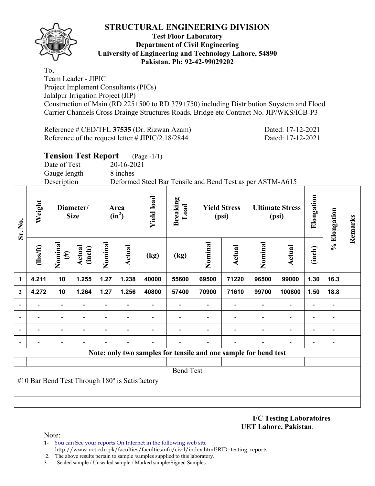

### **Test Floor Laboratory Department of Civil Engineering University of Engineering and Technology Lahore, 54890 Pakistan. Ph: 92-42-99029202**

To, Team Leader - JIPIC Project Implement Consultants (PICs) Jalalpur Irrigation Project (JIP) Construction of Main (RD 225+500 to RD 379+750) including Distribution Suystem and Flood Carrier Channels Cross Drainge Structures Roads, Bridge etc Contract No. JIP/WKS/ICB-P3

Reference # CED/TFL **37535** (Dr. Rizwan Azam) Dated: 17-12-2021 Reference of the request letter # JIPIC/2.18/2844 Dated: 17-12-2021

**Tension Test Report** (Page -1/1)

Date of Test 20-16-2021

Gauge length 8 inches

Description Deformed Steel Bar Tensile and Bend Test as per ASTM-A615

| Sr. No.                  | Weight                                         |                          | Diameter/<br><b>Size</b> |                          | Area<br>$(in^2)$ | <b>Yield load</b> | <b>Breaking</b><br>Load                                         |         | <b>Yield Stress</b><br>(psi) |         | <b>Ultimate Stress</b><br>(psi) | Elongation               | % Elongation             | Remarks |
|--------------------------|------------------------------------------------|--------------------------|--------------------------|--------------------------|------------------|-------------------|-----------------------------------------------------------------|---------|------------------------------|---------|---------------------------------|--------------------------|--------------------------|---------|
|                          | (1bs/ft)                                       | Nominal<br>$(\#)$        | Actual<br>(inch)         | Nominal                  | <b>Actual</b>    | (kg)              | (kg)                                                            | Nominal | Actual                       | Nominal | <b>Actual</b>                   | (inch)                   |                          |         |
| 1                        | 4.211                                          | 10                       | 1.255                    | 1.27                     | 1.238            | 40000             | 55600                                                           | 69500   | 71220                        | 96500   | 99000                           | 1.30                     | 16.3                     |         |
| $\boldsymbol{2}$         | 4.272                                          | 10                       | 1.264                    | 1.27                     | 1.256            | 40800             | 57400                                                           | 70900   | 71610                        | 99700   | 100800                          | 1.50                     | 18.8                     |         |
| $\overline{\phantom{a}}$ |                                                |                          |                          |                          |                  |                   |                                                                 |         |                              |         | $\overline{\phantom{0}}$        | $\overline{a}$           |                          |         |
| ۰                        |                                                | $\overline{\phantom{0}}$ |                          | $\overline{\phantom{0}}$ |                  |                   |                                                                 |         |                              |         | $\overline{\phantom{0}}$        | $\overline{\phantom{a}}$ |                          |         |
|                          |                                                | -                        |                          | $\overline{\phantom{0}}$ | $\blacksquare$   |                   |                                                                 |         |                              |         | $\overline{\phantom{0}}$        | $\overline{\phantom{a}}$ | $\overline{\phantom{a}}$ |         |
|                          |                                                |                          |                          |                          |                  |                   |                                                                 |         |                              |         |                                 |                          |                          |         |
|                          |                                                |                          |                          |                          |                  |                   | Note: only two samples for tensile and one sample for bend test |         |                              |         |                                 |                          |                          |         |
|                          |                                                |                          |                          |                          |                  |                   |                                                                 |         |                              |         |                                 |                          |                          |         |
|                          |                                                |                          |                          |                          |                  |                   | <b>Bend Test</b>                                                |         |                              |         |                                 |                          |                          |         |
|                          | #10 Bar Bend Test Through 180° is Satisfactory |                          |                          |                          |                  |                   |                                                                 |         |                              |         |                                 |                          |                          |         |
|                          |                                                |                          |                          |                          |                  |                   |                                                                 |         |                              |         |                                 |                          |                          |         |
|                          |                                                |                          |                          |                          |                  |                   |                                                                 |         |                              |         |                                 |                          |                          |         |

**I/C Testing Laboratoires UET Lahore, Pakistan**.

- 1- You can See your reports On Internet in the following web site http://www.uet.edu.pk/faculties/facultiesinfo/civil/index.html?RID=testing\_reports
- 2. The above results pertain to sample /samples supplied to this laboratory.
- 3- Sealed sample / Unsealed sample / Marked sample/Signed Samples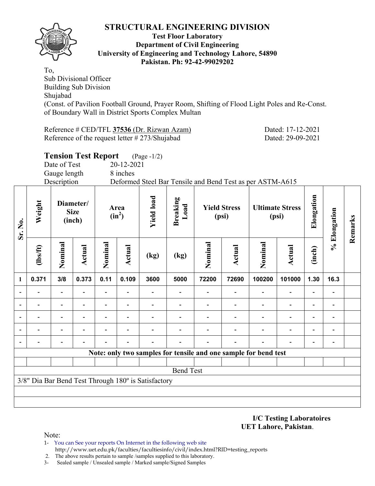

#### **Test Floor Laboratory Department of Civil Engineering University of Engineering and Technology Lahore, 54890 Pakistan. Ph: 92-42-99029202**

To, Sub Divisional Officer Building Sub Division Shujabad (Const. of Pavilion Football Ground, Prayer Room, Shifting of Flood Light Poles and Re-Const. of Boundary Wall in District Sports Complex Multan

Reference # CED/TFL **37536** (Dr. Rizwan Azam) Dated: 17-12-2021 Reference of the request letter # 273/Shujabad Dated: 29-09-2021

|          | <b>Tension Test Report</b>                        |        |        |                  | $(Page - 1/2)$                                            |                  |        |                              |        |                                 |            |  |
|----------|---------------------------------------------------|--------|--------|------------------|-----------------------------------------------------------|------------------|--------|------------------------------|--------|---------------------------------|------------|--|
|          | Date of Test                                      |        |        | 20-12-2021       |                                                           |                  |        |                              |        |                                 |            |  |
|          | Gauge length                                      |        |        | 8 inches         |                                                           |                  |        |                              |        |                                 |            |  |
|          |                                                   |        |        |                  | Deformed Steel Bar Tensile and Bend Test as per ASTM-A615 |                  |        |                              |        |                                 |            |  |
| Weight   | Description<br>Diameter/<br><b>Size</b><br>(inch) |        |        | Area<br>$(in^2)$ | load<br>Yield                                             | Breaking<br>Load |        | <b>Yield Stress</b><br>(psi) |        | <b>Ultimate Stress</b><br>(psi) | Elongation |  |
| $lbs/ft$ | Nominal                                           | Actual | Nomina | Actual           | (kg)                                                      | (kg)             | Nomina | Actual                       | Nomina | Actual                          | (inch)     |  |

| Sr. No.      | Weigl          |         | <b>Size</b><br>(inch) |                          | Area<br>$(in^2)$ | <b>Yield</b> l                                      | <b>Breaki</b><br>Load |                                                                 | <b>Yield Stress</b><br>(psi) |         | <b>Ultimate Stress</b><br>(psi) | Elongat | % Elongation             | Remarks |
|--------------|----------------|---------|-----------------------|--------------------------|------------------|-----------------------------------------------------|-----------------------|-----------------------------------------------------------------|------------------------------|---------|---------------------------------|---------|--------------------------|---------|
|              | $\frac{2}{10}$ | Nominal | Actual                | Nominal                  | Actual           | (kg)                                                | (kg)                  | Nominal                                                         | Actual                       | Nominal | Actual                          | (inch)  |                          |         |
| $\mathbf{1}$ | 0.371          | 3/8     | 0.373                 | 0.11                     | 0.109            | 3600                                                | 5000                  | 72200                                                           | 72690                        | 100200  | 101000                          | 1.30    | 16.3                     |         |
|              |                |         |                       |                          |                  |                                                     |                       |                                                                 |                              |         |                                 |         |                          |         |
|              |                |         |                       | -                        |                  |                                                     |                       |                                                                 |                              |         |                                 |         |                          |         |
|              |                |         |                       |                          |                  |                                                     |                       |                                                                 |                              |         |                                 |         |                          |         |
|              |                |         |                       | $\overline{\phantom{0}}$ |                  |                                                     |                       |                                                                 |                              |         |                                 |         | $\overline{\phantom{0}}$ |         |
|              |                |         |                       |                          |                  |                                                     |                       |                                                                 |                              |         |                                 |         |                          |         |
|              |                |         |                       |                          |                  |                                                     |                       | Note: only two samples for tensile and one sample for bend test |                              |         |                                 |         |                          |         |
|              |                |         |                       |                          |                  |                                                     |                       |                                                                 |                              |         |                                 |         |                          |         |
|              |                |         |                       |                          |                  |                                                     | <b>Bend Test</b>      |                                                                 |                              |         |                                 |         |                          |         |
|              |                |         |                       |                          |                  | 3/8" Dia Bar Bend Test Through 180° is Satisfactory |                       |                                                                 |                              |         |                                 |         |                          |         |
|              |                |         |                       |                          |                  |                                                     |                       |                                                                 |                              |         |                                 |         |                          |         |
|              |                |         |                       |                          |                  |                                                     |                       |                                                                 |                              |         |                                 |         |                          |         |

**I/C Testing Laboratoires UET Lahore, Pakistan**.

- 1- You can See your reports On Internet in the following web site http://www.uet.edu.pk/faculties/facultiesinfo/civil/index.html?RID=testing\_reports
- 2. The above results pertain to sample /samples supplied to this laboratory.
- 3- Sealed sample / Unsealed sample / Marked sample/Signed Samples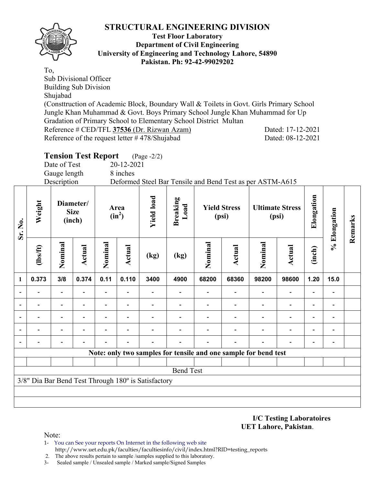

To, Sub Divisional Officer Building Sub Division Shujabad (Consttruction of Academic Block, Boundary Wall & Toilets in Govt. Girls Primary School Jungle Khan Muhammad & Govt. Boys Primary School Jungle Khan Muhammad for Up Gradation of Primary School to Elementary School District Multan Reference # CED/TFL **37536** (Dr. Rizwan Azam) Dated: 17-12-2021 Reference of the request letter #478/Shujabad Dated: 08-12-2021

|              | <b>Tension Test Report</b> (Page -2/2) |
|--------------|----------------------------------------|
| Date of Test | 20-12-2021                             |
| Gauge length | 8 inches                               |

Description Deformed Steel Bar Tensile and Bend Test as per ASTM-A615

| Sr. No.                  | Weight<br>Diameter/<br><b>Size</b><br>(inch) |         |               | Area<br>$(in^2)$         | <b>Yield load</b> | <b>Breaking</b><br>Load                             |                                                                 | <b>Yield Stress</b><br>(psi) |        | <b>Ultimate Stress</b><br>(psi) | Elongation               | % Elongation | Remarks                  |  |
|--------------------------|----------------------------------------------|---------|---------------|--------------------------|-------------------|-----------------------------------------------------|-----------------------------------------------------------------|------------------------------|--------|---------------------------------|--------------------------|--------------|--------------------------|--|
|                          | (1bs/ft)                                     | Nominal | <b>Actual</b> | Nominal                  | Actual            | (kg)                                                | (kg)                                                            | Nominal                      | Actual | Nominal                         | <b>Actual</b>            | (inch)       |                          |  |
| $\mathbf{1}$             | 0.373                                        | 3/8     | 0.374         | 0.11                     | 0.110             | 3400                                                | 4900                                                            | 68200                        | 68360  | 98200                           | 98600                    | 1.20         | 15.0                     |  |
|                          |                                              |         |               |                          |                   |                                                     |                                                                 |                              |        |                                 | $\overline{\phantom{0}}$ |              |                          |  |
|                          |                                              |         |               | $\overline{\phantom{0}}$ |                   |                                                     |                                                                 |                              |        |                                 | $\overline{\phantom{0}}$ |              |                          |  |
|                          |                                              |         |               |                          |                   |                                                     |                                                                 |                              |        |                                 | $\overline{\phantom{0}}$ |              |                          |  |
| $\overline{\phantom{0}}$ |                                              |         |               |                          |                   |                                                     |                                                                 |                              |        |                                 |                          |              | $\overline{\phantom{a}}$ |  |
| $\overline{\phantom{a}}$ |                                              |         |               |                          |                   |                                                     |                                                                 |                              |        |                                 |                          |              |                          |  |
|                          |                                              |         |               |                          |                   |                                                     | Note: only two samples for tensile and one sample for bend test |                              |        |                                 |                          |              |                          |  |
|                          |                                              |         |               |                          |                   |                                                     |                                                                 |                              |        |                                 |                          |              |                          |  |
|                          |                                              |         |               |                          |                   |                                                     | <b>Bend Test</b>                                                |                              |        |                                 |                          |              |                          |  |
|                          |                                              |         |               |                          |                   | 3/8" Dia Bar Bend Test Through 180° is Satisfactory |                                                                 |                              |        |                                 |                          |              |                          |  |
|                          |                                              |         |               |                          |                   |                                                     |                                                                 |                              |        |                                 |                          |              |                          |  |
|                          |                                              |         |               |                          |                   |                                                     |                                                                 |                              |        |                                 |                          |              |                          |  |

**I/C Testing Laboratoires UET Lahore, Pakistan**.

- 1- You can See your reports On Internet in the following web site http://www.uet.edu.pk/faculties/facultiesinfo/civil/index.html?RID=testing\_reports
- 2. The above results pertain to sample /samples supplied to this laboratory.
- 3- Sealed sample / Unsealed sample / Marked sample/Signed Samples

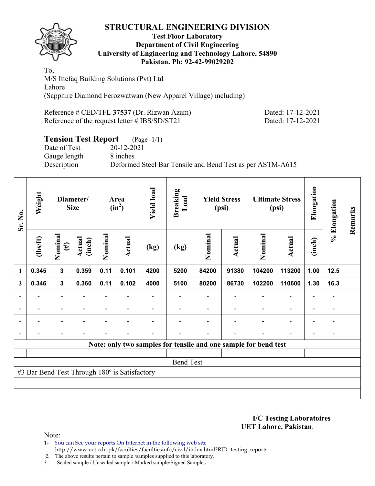

#### **Test Floor Laboratory Department of Civil Engineering University of Engineering and Technology Lahore, 54890 Pakistan. Ph: 92-42-99029202**

To, M/S Ittefaq Building Solutions (Pvt) Ltd Lahore (Sapphire Diamond Ferozwatwan (New Apparel Village) including)

Reference # CED/TFL **37537** (Dr. Rizwan Azam) Dated: 17-12-2021 Reference of the request letter # IBS/SD/ST21 Dated: 17-12-2021

# **Tension Test Report** (Page -1/1)

Date of Test 20-12-2021 Gauge length 8 inches

Description Deformed Steel Bar Tensile and Bend Test as per ASTM-A615

| Sr. No.      | Weight                                        |                          | Diameter/<br><b>Size</b> |                | Area<br>$(in^2)$         | <b>Yield load</b> | <b>Breaking</b><br>Load |         | <b>Yield Stress</b><br>(psi) |                                                                 | <b>Ultimate Stress</b><br>(psi) | Elongation               | % Elongation             | Remarks |
|--------------|-----------------------------------------------|--------------------------|--------------------------|----------------|--------------------------|-------------------|-------------------------|---------|------------------------------|-----------------------------------------------------------------|---------------------------------|--------------------------|--------------------------|---------|
|              | $\frac{2}{10}$                                | Nominal<br>$(\#)$        | Actual<br>(inch)         | Nominal        | Actual                   | (kg)              | (kg)                    | Nominal | Actual                       | Nominal                                                         | <b>Actual</b>                   | (inch)                   |                          |         |
| 1            | 0.345                                         | $\mathbf{3}$             | 0.359                    | 0.11           | 0.101                    | 4200              | 5200                    | 84200   | 91380                        | 104200                                                          | 113200                          | 1.00                     | 12.5                     |         |
| $\mathbf{2}$ | 0.346                                         | $\mathbf{3}$             | 0.360                    | 0.11           | 0.102                    | 4000              | 5100                    | 80200   | 86730                        | 102200                                                          | 110600                          | 1.30                     | 16.3                     |         |
|              |                                               | $\overline{a}$           |                          |                |                          |                   |                         |         |                              |                                                                 | $\overline{\phantom{0}}$        | $\overline{\phantom{a}}$ |                          |         |
|              | $\overline{\phantom{0}}$                      | $\blacksquare$           |                          |                |                          |                   |                         |         |                              |                                                                 | $\overline{\phantom{a}}$        | -                        | -                        |         |
|              | $\blacksquare$                                | $\overline{\phantom{a}}$ | $\blacksquare$           | $\blacksquare$ | $\overline{\phantom{a}}$ |                   |                         |         | $\blacksquare$               | $\overline{\phantom{0}}$                                        | $\overline{\phantom{a}}$        | Ξ.                       | $\overline{\phantom{a}}$ |         |
|              | $\overline{\phantom{0}}$                      | $\overline{\phantom{a}}$ |                          |                | $\overline{\phantom{0}}$ |                   |                         |         | ۰                            | $\overline{\phantom{0}}$                                        | $\overline{\phantom{a}}$        | $\blacksquare$           | $\overline{\phantom{a}}$ |         |
|              |                                               |                          |                          |                |                          |                   |                         |         |                              | Note: only two samples for tensile and one sample for bend test |                                 |                          |                          |         |
|              |                                               |                          |                          |                |                          |                   |                         |         |                              |                                                                 |                                 |                          |                          |         |
|              |                                               |                          |                          |                |                          |                   | <b>Bend Test</b>        |         |                              |                                                                 |                                 |                          |                          |         |
|              | #3 Bar Bend Test Through 180° is Satisfactory |                          |                          |                |                          |                   |                         |         |                              |                                                                 |                                 |                          |                          |         |
|              |                                               |                          |                          |                |                          |                   |                         |         |                              |                                                                 |                                 |                          |                          |         |
|              |                                               |                          |                          |                |                          |                   |                         |         |                              |                                                                 |                                 |                          |                          |         |

**I/C Testing Laboratoires UET Lahore, Pakistan**.

Note:

1- You can See your reports On Internet in the following web site http://www.uet.edu.pk/faculties/facultiesinfo/civil/index.html?RID=testing\_reports

2. The above results pertain to sample /samples supplied to this laboratory.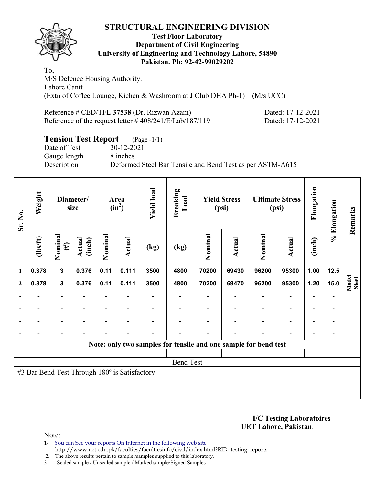

#### **Test Floor Laboratory Department of Civil Engineering University of Engineering and Technology Lahore, 54890 Pakistan. Ph: 92-42-99029202**

To, M/S Defence Housing Authority. Lahore Cantt (Extn of Coffee Lounge, Kichen & Washroom at J Club DHA Ph-1) – (M/s UCC)

| Reference # CED/TFL 37538 (Dr. Rizwan Azam)                | Dated: 17-12-2021 |
|------------------------------------------------------------|-------------------|
| Reference of the request letter $\# 408/241/E/Lab/187/119$ | Dated: 17-12-2021 |

# **Tension Test Report** (Page -1/1)

Gauge length 8 inches

Date of Test 20-12-2021 Description Deformed Steel Bar Tensile and Bend Test as per ASTM-A615

| Sr. No.                  | Weight                                        |                          | Diameter/<br>size        |                          | Area<br>$(in^2)$ | <b>Yield load</b> | <b>Breaking</b><br>Load |         | <b>Yield Stress</b><br>(psi) |                                                                 | <b>Ultimate Stress</b><br>(psi) | Elongation               | % Elongation             | Remarks               |
|--------------------------|-----------------------------------------------|--------------------------|--------------------------|--------------------------|------------------|-------------------|-------------------------|---------|------------------------------|-----------------------------------------------------------------|---------------------------------|--------------------------|--------------------------|-----------------------|
|                          | $\frac{2}{10}$                                | Nominal<br>$(\#)$        | Actual<br>(inch)         | Nominal                  | <b>Actual</b>    | (kg)              | (kg)                    | Nominal | Actual                       | Nominal                                                         | Actual                          | (inch)                   |                          |                       |
| $\mathbf{1}$             | 0.378                                         | 3                        | 0.376                    | 0.11                     | 0.111            | 3500              | 4800                    | 70200   | 69430                        | 96200                                                           | 95300                           | 1.00                     | 12.5                     |                       |
| $\mathbf{2}$             | 0.378                                         | $\mathbf{3}$             | 0.376                    | 0.11                     | 0.111            | 3500              | 4800                    | 70200   | 69470                        | 96200                                                           | 95300                           | 1.20                     | 15.0                     | Model<br><b>Steel</b> |
|                          |                                               | $\overline{a}$           |                          |                          |                  |                   |                         |         |                              |                                                                 | $\overline{a}$                  |                          |                          |                       |
| $\overline{\phantom{a}}$ | $\overline{\phantom{0}}$                      | $\blacksquare$           | $\overline{\phantom{0}}$ | $\overline{\phantom{0}}$ | $\blacksquare$   |                   |                         |         | $\overline{\phantom{a}}$     | $\overline{\phantom{a}}$                                        | $\overline{\phantom{a}}$        | $\overline{\phantom{a}}$ | $\overline{\phantom{0}}$ |                       |
| $\blacksquare$           |                                               | $\overline{\phantom{0}}$ |                          | $\blacksquare$           | $\blacksquare$   |                   |                         |         |                              | $\overline{\phantom{0}}$                                        | $\overline{a}$                  | $\overline{\phantom{0}}$ | $\blacksquare$           |                       |
|                          | -                                             | $\overline{\phantom{0}}$ | $\blacksquare$           | $\blacksquare$           | $\blacksquare$   | $\overline{a}$    |                         |         | $\blacksquare$               | ۰                                                               | $\overline{a}$                  | $\overline{\phantom{0}}$ | $\overline{\phantom{0}}$ |                       |
|                          |                                               |                          |                          |                          |                  |                   |                         |         |                              | Note: only two samples for tensile and one sample for bend test |                                 |                          |                          |                       |
|                          |                                               |                          |                          |                          |                  |                   |                         |         |                              |                                                                 |                                 |                          |                          |                       |
|                          |                                               |                          |                          |                          |                  |                   | <b>Bend Test</b>        |         |                              |                                                                 |                                 |                          |                          |                       |
|                          | #3 Bar Bend Test Through 180° is Satisfactory |                          |                          |                          |                  |                   |                         |         |                              |                                                                 |                                 |                          |                          |                       |
|                          |                                               |                          |                          |                          |                  |                   |                         |         |                              |                                                                 |                                 |                          |                          |                       |
|                          |                                               |                          |                          |                          |                  |                   |                         |         |                              |                                                                 |                                 |                          |                          |                       |

**I/C Testing Laboratoires UET Lahore, Pakistan**.

- 1- You can See your reports On Internet in the following web site http://www.uet.edu.pk/faculties/facultiesinfo/civil/index.html?RID=testing\_reports
- 2. The above results pertain to sample /samples supplied to this laboratory.
- 3- Sealed sample / Unsealed sample / Marked sample/Signed Samples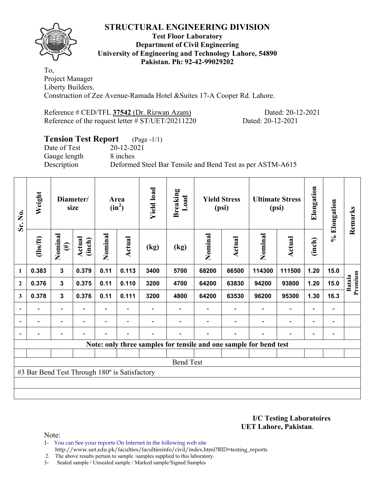

### **Test Floor Laboratory Department of Civil Engineering University of Engineering and Technology Lahore, 54890 Pakistan. Ph: 92-42-99029202**

To, Project Manager Liberty Builders. Construction of Zee Avenue-Ramada Hotel &Suites 17-A Cooper Rd. Lahore.

Reference # CED/TFL **37542** (Dr. Rizwan Azam) Dated: 20-12-2021 Reference of the request letter # ST/UET/20211220 Dated: 20-12-2021

# **Tension Test Report** (Page -1/1)

Date of Test 20-12-2021 Gauge length 8 inches

Description Deformed Steel Bar Tensile and Bend Test as per ASTM-A615

| Sr. No.          | Weight                                        |                          | Diameter/<br>size        |                          | Area<br>$(in^2)$         | <b>Yield load</b>        | <b>Breaking</b><br>Load                                           |         | <b>Yield Stress</b><br>(psi) |                          | <b>Ultimate Stress</b><br>(psi) | Elongation               | % Elongation             | Remarks                  |
|------------------|-----------------------------------------------|--------------------------|--------------------------|--------------------------|--------------------------|--------------------------|-------------------------------------------------------------------|---------|------------------------------|--------------------------|---------------------------------|--------------------------|--------------------------|--------------------------|
|                  | (1bs/ft)                                      | Nominal<br>$(\#)$        | Actual<br>(inch)         | Nominal                  | <b>Actual</b>            | (kg)                     | (kg)                                                              | Nominal | <b>Actual</b>                | Nominal                  | <b>Actual</b>                   | (inch)                   |                          |                          |
| 1                | 0.383                                         | $\mathbf{3}$             | 0.379                    | 0.11                     | 0.113                    | 3400                     | 5700                                                              | 68200   | 66500                        | 114300                   | 111500                          | 1.20                     | 15.0                     |                          |
| $\mathbf{2}$     | 0.376                                         | $\mathbf 3$              | 0.375                    | 0.11                     | 0.110                    | 3200                     | 4700                                                              | 64200   | 63830                        | 94200                    | 93800                           | 1.20                     | 15.0                     | Premium<br><b>Batala</b> |
| 3                | 0.378                                         | $\mathbf{3}$             | 0.376                    | 0.11                     | 0.111                    | 3200                     | 4800                                                              | 64200   | 63530                        | 96200                    | 95300                           | 1.30                     | 16.3                     |                          |
|                  | $\overline{\phantom{0}}$                      | $\overline{\phantom{a}}$ | $\overline{\phantom{0}}$ | $\overline{\phantom{0}}$ | $\overline{\phantom{a}}$ |                          |                                                                   |         | $\overline{\phantom{a}}$     | $\overline{\phantom{a}}$ | $\overline{\phantom{a}}$        | $\overline{\phantom{0}}$ | $\overline{\phantom{a}}$ |                          |
|                  | $\overline{\phantom{0}}$                      | $\overline{\phantom{a}}$ | $\overline{\phantom{0}}$ | $\overline{\phantom{0}}$ | $\overline{\phantom{a}}$ |                          |                                                                   |         | $\overline{\phantom{0}}$     | $\overline{\phantom{0}}$ | $\overline{a}$                  | $\overline{\phantom{0}}$ | $\overline{\phantom{a}}$ |                          |
|                  | $\overline{\phantom{0}}$                      | $\overline{\phantom{a}}$ |                          | Ξ.                       | $\overline{\phantom{0}}$ | $\overline{\phantom{0}}$ | $\blacksquare$                                                    |         | $\overline{\phantom{0}}$     | $\overline{\phantom{0}}$ | $\blacksquare$                  | $\overline{\phantom{0}}$ | $\overline{\phantom{a}}$ |                          |
|                  |                                               |                          |                          |                          |                          |                          | Note: only three samples for tensile and one sample for bend test |         |                              |                          |                                 |                          |                          |                          |
|                  |                                               |                          |                          |                          |                          |                          |                                                                   |         |                              |                          |                                 |                          |                          |                          |
| <b>Bend Test</b> |                                               |                          |                          |                          |                          |                          |                                                                   |         |                              |                          |                                 |                          |                          |                          |
|                  | #3 Bar Bend Test Through 180° is Satisfactory |                          |                          |                          |                          |                          |                                                                   |         |                              |                          |                                 |                          |                          |                          |
|                  |                                               |                          |                          |                          |                          |                          |                                                                   |         |                              |                          |                                 |                          |                          |                          |
|                  |                                               |                          |                          |                          |                          |                          |                                                                   |         |                              |                          |                                 |                          |                          |                          |

**I/C Testing Laboratoires UET Lahore, Pakistan**.

Note:

1- You can See your reports On Internet in the following web site http://www.uet.edu.pk/faculties/facultiesinfo/civil/index.html?RID=testing\_reports

2. The above results pertain to sample /samples supplied to this laboratory.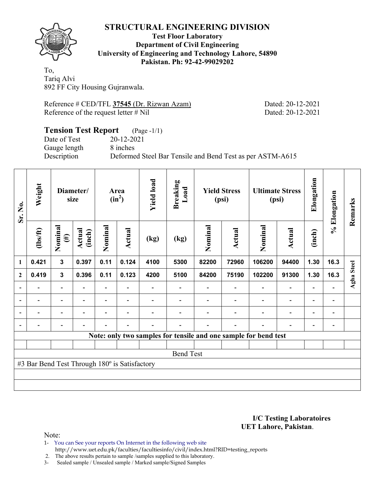

#### **Test Floor Laboratory Department of Civil Engineering University of Engineering and Technology Lahore, 54890 Pakistan. Ph: 92-42-99029202**

To, Tariq Alvi 892 FF City Housing Gujranwala.

Reference # CED/TFL **37545** (Dr. Rizwan Azam) Dated: 20-12-2021 Reference of the request letter # Nil Dated: 20-12-2021

### **Tension Test Report** (Page -1/1) Date of Test 20-12-2021 Gauge length 8 inches Description Deformed Steel Bar Tensile and Bend Test as per ASTM-A615

| Sr. No.          | Weight                                        |                              | Diameter/<br>size |         | Area<br>$(in^2)$         | <b>Yield load</b> | <b>Breaking</b><br>Load |         | <b>Yield Stress</b><br>(psi) |                                                                 | <b>Ultimate Stress</b><br>(psi) | Elongation               | % Elongation | Remarks    |
|------------------|-----------------------------------------------|------------------------------|-------------------|---------|--------------------------|-------------------|-------------------------|---------|------------------------------|-----------------------------------------------------------------|---------------------------------|--------------------------|--------------|------------|
|                  | $\frac{2}{10}$                                | Nominal<br>$(\#)$            | Actual<br>(inch)  | Nominal | <b>Actual</b>            | (kg)              | (kg)                    | Nominal | Actual                       | Nominal                                                         | <b>Actual</b>                   | (inch)                   |              |            |
| 1                | 0.421                                         | $\mathbf{3}$                 | 0.397             | 0.11    | 0.124                    | 4100              | 5300                    | 82200   | 72960                        | 106200                                                          | 94400                           | 1.30                     | 16.3         |            |
| $\mathbf{2}$     | 0.419                                         | $\mathbf{3}$                 | 0.396             | 0.11    | 0.123                    | 4200              | 5100                    | 84200   | 75190                        | 102200                                                          | 91300                           | 1.30                     | 16.3         | Agha Steel |
|                  |                                               | -                            |                   |         |                          |                   |                         |         |                              |                                                                 |                                 |                          |              |            |
| $\blacksquare$   |                                               | $\overline{\phantom{0}}$     |                   |         | $\overline{\phantom{a}}$ |                   |                         |         |                              |                                                                 |                                 | $\overline{\phantom{a}}$ | -            |            |
| $\overline{a}$   | -                                             | $\overline{\phantom{0}}$     |                   | -       | $\overline{\phantom{0}}$ |                   |                         |         |                              |                                                                 | $\overline{\phantom{0}}$        |                          | -            |            |
|                  | $\overline{a}$                                | $\qquad \qquad \blacksquare$ |                   |         | $\blacksquare$           |                   |                         |         |                              |                                                                 |                                 |                          | -            |            |
|                  |                                               |                              |                   |         |                          |                   |                         |         |                              | Note: only two samples for tensile and one sample for bend test |                                 |                          |              |            |
|                  |                                               |                              |                   |         |                          |                   |                         |         |                              |                                                                 |                                 |                          |              |            |
| <b>Bend Test</b> |                                               |                              |                   |         |                          |                   |                         |         |                              |                                                                 |                                 |                          |              |            |
|                  | #3 Bar Bend Test Through 180° is Satisfactory |                              |                   |         |                          |                   |                         |         |                              |                                                                 |                                 |                          |              |            |
|                  |                                               |                              |                   |         |                          |                   |                         |         |                              |                                                                 |                                 |                          |              |            |
|                  |                                               |                              |                   |         |                          |                   |                         |         |                              |                                                                 |                                 |                          |              |            |

#### **I/C Testing Laboratoires UET Lahore, Pakistan**.

Note:

1- You can See your reports On Internet in the following web site http://www.uet.edu.pk/faculties/facultiesinfo/civil/index.html?RID=testing\_reports

2. The above results pertain to sample /samples supplied to this laboratory.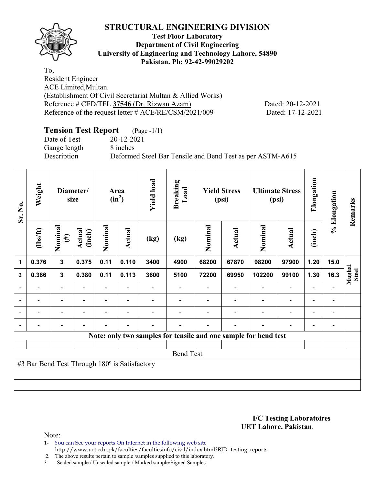

### **Test Floor Laboratory Department of Civil Engineering University of Engineering and Technology Lahore, 54890 Pakistan. Ph: 92-42-99029202**

To, Resident Engineer ACE Limited,Multan. (Establishment Of Civil Secretariat Multan & Allied Works) Reference # CED/TFL **37546** (Dr. Rizwan Azam) Dated: 20-12-2021 Reference of the request letter # ACE/RE/CSM/2021/009 Dated: 17-12-2021

### **Tension Test Report** (Page -1/1) Date of Test 20-12-2021

Gauge length 8 inches

Description Deformed Steel Bar Tensile and Bend Test as per ASTM-A615

| Sr. No.          | Weight                                        |                          | Diameter/<br>size |                | Area<br>$(in^2)$ | <b>Yield load</b> | <b>Breaking</b><br>Load |         | <b>Yield Stress</b><br>(psi) |                                                                 | <b>Ultimate Stress</b><br>(psi) | Elongation               | % Elongation                 | Remarks                |
|------------------|-----------------------------------------------|--------------------------|-------------------|----------------|------------------|-------------------|-------------------------|---------|------------------------------|-----------------------------------------------------------------|---------------------------------|--------------------------|------------------------------|------------------------|
|                  | $\frac{2}{10}$                                | Nominal<br>$(\#)$        | Actual<br>(inch)  | Nominal        | Actual           | (kg)              | (kg)                    | Nominal | <b>Actual</b>                | Nominal                                                         | <b>Actual</b>                   | (inch)                   |                              |                        |
| 1                | 0.376                                         | $\mathbf{3}$             | 0.375             | 0.11           | 0.110            | 3400              | 4900                    | 68200   | 67870                        | 98200                                                           | 97900                           | 1.20                     | 15.0                         |                        |
| $\mathbf{2}$     | 0.386                                         | $\mathbf{3}$             | 0.380             | 0.11           | 0.113            | 3600              | 5100                    | 72200   | 69950                        | 102200                                                          | 99100                           | 1.30                     | 16.3                         | Mughal<br><b>Steel</b> |
|                  |                                               | $\overline{\phantom{0}}$ |                   |                |                  |                   |                         |         |                              |                                                                 |                                 |                          |                              |                        |
| $\overline{a}$   |                                               |                          |                   |                |                  |                   |                         |         |                              |                                                                 |                                 |                          | -                            |                        |
| $\blacksquare$   | $\overline{\phantom{a}}$                      | $\overline{\phantom{0}}$ | $\blacksquare$    | $\blacksquare$ | ۰                |                   |                         |         |                              |                                                                 | $\overline{\phantom{0}}$        | $\blacksquare$           | $\qquad \qquad \blacksquare$ |                        |
| $\blacksquare$   |                                               | $\overline{\phantom{0}}$ |                   |                | ٠                |                   |                         |         |                              |                                                                 | $\overline{\phantom{0}}$        | $\overline{\phantom{0}}$ | $\qquad \qquad \blacksquare$ |                        |
|                  |                                               |                          |                   |                |                  |                   |                         |         |                              | Note: only two samples for tensile and one sample for bend test |                                 |                          |                              |                        |
|                  |                                               |                          |                   |                |                  |                   |                         |         |                              |                                                                 |                                 |                          |                              |                        |
| <b>Bend Test</b> |                                               |                          |                   |                |                  |                   |                         |         |                              |                                                                 |                                 |                          |                              |                        |
|                  | #3 Bar Bend Test Through 180° is Satisfactory |                          |                   |                |                  |                   |                         |         |                              |                                                                 |                                 |                          |                              |                        |
|                  |                                               |                          |                   |                |                  |                   |                         |         |                              |                                                                 |                                 |                          |                              |                        |
|                  |                                               |                          |                   |                |                  |                   |                         |         |                              |                                                                 |                                 |                          |                              |                        |

#### **I/C Testing Laboratoires UET Lahore, Pakistan**.

Note:

1- You can See your reports On Internet in the following web site http://www.uet.edu.pk/faculties/facultiesinfo/civil/index.html?RID=testing\_reports

2. The above results pertain to sample /samples supplied to this laboratory.